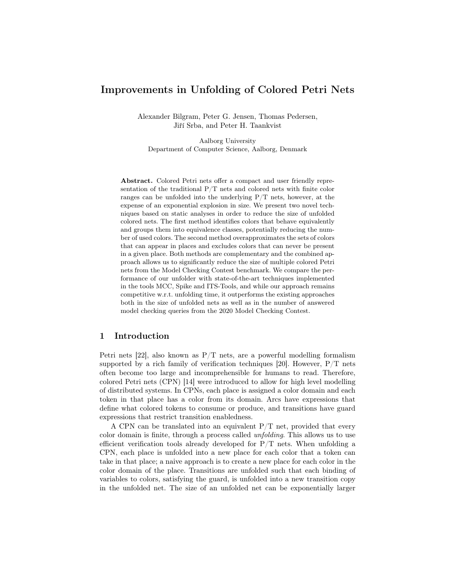## Improvements in Unfolding of Colored Petri Nets

Alexander Bilgram, Peter G. Jensen, Thomas Pedersen, Jiří Srba, and Peter H. Taankvist

Aalborg University Department of Computer Science, Aalborg, Denmark

Abstract. Colored Petri nets offer a compact and user friendly representation of the traditional P/T nets and colored nets with finite color ranges can be unfolded into the underlying  $P/T$  nets, however, at the expense of an exponential explosion in size. We present two novel techniques based on static analyses in order to reduce the size of unfolded colored nets. The first method identifies colors that behave equivalently and groups them into equivalence classes, potentially reducing the number of used colors. The second method overapproximates the sets of colors that can appear in places and excludes colors that can never be present in a given place. Both methods are complementary and the combined approach allows us to significantly reduce the size of multiple colored Petri nets from the Model Checking Contest benchmark. We compare the performance of our unfolder with state-of-the-art techniques implemented in the tools MCC, Spike and ITS-Tools, and while our approach remains competitive w.r.t. unfolding time, it outperforms the existing approaches both in the size of unfolded nets as well as in the number of answered model checking queries from the 2020 Model Checking Contest.

## 1 Introduction

Petri nets [22], also known as  $P/T$  nets, are a powerful modelling formalism supported by a rich family of verification techniques [20]. However,  $P/T$  nets often become too large and incomprehensible for humans to read. Therefore, colored Petri nets (CPN) [14] were introduced to allow for high level modelling of distributed systems. In CPNs, each place is assigned a color domain and each token in that place has a color from its domain. Arcs have expressions that define what colored tokens to consume or produce, and transitions have guard expressions that restrict transition enabledness.

A CPN can be translated into an equivalent  $P/T$  net, provided that every color domain is finite, through a process called unfolding. This allows us to use efficient verification tools already developed for  $P/T$  nets. When unfolding a CPN, each place is unfolded into a new place for each color that a token can take in that place; a naive approach is to create a new place for each color in the color domain of the place. Transitions are unfolded such that each binding of variables to colors, satisfying the guard, is unfolded into a new transition copy in the unfolded net. The size of an unfolded net can be exponentially larger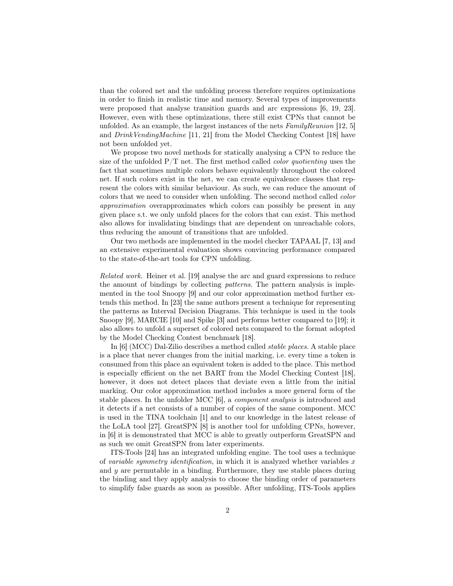than the colored net and the unfolding process therefore requires optimizations in order to finish in realistic time and memory. Several types of improvements were proposed that analyse transition guards and arc expressions [6, 19, 23]. However, even with these optimizations, there still exist CPNs that cannot be unfolded. As an example, the largest instances of the nets  $FamilyReunion$  [12, 5] and DrinkVendingMachine [11, 21] from the Model Checking Contest [18] have not been unfolded yet.

We propose two novel methods for statically analysing a CPN to reduce the size of the unfolded  $P/T$  net. The first method called *color quotienting* uses the fact that sometimes multiple colors behave equivalently throughout the colored net. If such colors exist in the net, we can create equivalence classes that represent the colors with similar behaviour. As such, we can reduce the amount of colors that we need to consider when unfolding. The second method called color approximation overapproximates which colors can possibly be present in any given place s.t. we only unfold places for the colors that can exist. This method also allows for invalidating bindings that are dependent on unreachable colors, thus reducing the amount of transitions that are unfolded.

Our two methods are implemented in the model checker TAPAAL [7, 13] and an extensive experimental evaluation shows convincing performance compared to the state-of-the-art tools for CPN unfolding.

Related work. Heiner et al. [19] analyse the arc and guard expressions to reduce the amount of bindings by collecting *patterns*. The pattern analysis is implemented in the tool Snoopy [9] and our color approximation method further extends this method. In [23] the same authors present a technique for representing the patterns as Interval Decision Diagrams. This technique is used in the tools Snoopy [9], MARCIE [10] and Spike [3] and performs better compared to [19]; it also allows to unfold a superset of colored nets compared to the format adopted by the Model Checking Contest benchmark [18].

In [6] (MCC) Dal-Zilio describes a method called stable places. A stable place is a place that never changes from the initial marking, i.e. every time a token is consumed from this place an equivalent token is added to the place. This method is especially efficient on the net BART from the Model Checking Contest [18], however, it does not detect places that deviate even a little from the initial marking. Our color approximation method includes a more general form of the stable places. In the unfolder MCC [6], a component analysis is introduced and it detects if a net consists of a number of copies of the same component. MCC is used in the TINA toolchain [1] and to our knowledge in the latest release of the LoLA tool [27]. GreatSPN [8] is another tool for unfolding CPNs, however, in [6] it is demonstrated that MCC is able to greatly outperform GreatSPN and as such we omit GreatSPN from later experiments.

ITS-Tools [24] has an integrated unfolding engine. The tool uses a technique of variable symmetry identification, in which it is analyzed whether variables  $x$ and  $y$  are permutable in a binding. Furthermore, they use stable places during the binding and they apply analysis to choose the binding order of parameters to simplify false guards as soon as possible. After unfolding, ITS-Tools applies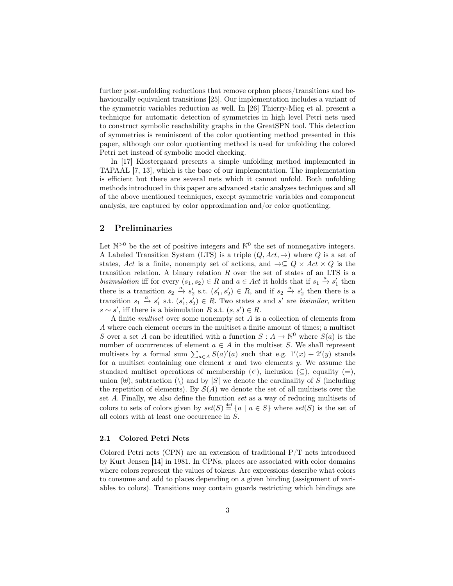further post-unfolding reductions that remove orphan places/transitions and behaviourally equivalent transitions [25]. Our implementation includes a variant of the symmetric variables reduction as well. In [26] Thierry-Mieg et al. present a technique for automatic detection of symmetries in high level Petri nets used to construct symbolic reachability graphs in the GreatSPN tool. This detection of symmetries is reminiscent of the color quotienting method presented in this paper, although our color quotienting method is used for unfolding the colored Petri net instead of symbolic model checking.

In [17] Klostergaard presents a simple unfolding method implemented in TAPAAL [7, 13], which is the base of our implementation. The implementation is efficient but there are several nets which it cannot unfold. Both unfolding methods introduced in this paper are advanced static analyses techniques and all of the above mentioned techniques, except symmetric variables and component analysis, are captured by color approximation and/or color quotienting.

### 2 Preliminaries

Let  $\mathbb{N}^{>0}$  be the set of positive integers and  $\mathbb{N}^{0}$  the set of nonnegative integers. A Labeled Transition System (LTS) is a triple  $(Q, Act, \rightarrow)$  where Q is a set of states, Act is a finite, nonempty set of actions, and  $\rightarrow \subseteq Q \times Act \times Q$  is the transition relation. A binary relation  $R$  over the set of states of an LTS is a bisimulation iff for every  $(s_1, s_2) \in R$  and  $a \in Act$  it holds that if  $s_1 \stackrel{a}{\rightarrow} s'_1$  then there is a transition  $s_2 \stackrel{a}{\to} s'_2$  s.t.  $(s'_1, s'_2) \in R$ , and if  $s_2 \stackrel{a}{\to} s'_2$  then there is a transition  $s_1 \stackrel{a}{\rightarrow} s'_1$  s.t.  $(s'_1, s'_2) \in R$ . Two states s and s' are *bisimilar*, written  $s \sim s'$ , iff there is a bisimulation R s.t.  $(s, s') \in R$ .

A finite multiset over some nonempty set A is a collection of elements from A where each element occurs in the multiset a finite amount of times; a multiset S over a set A can be identified with a function  $S: A \to \mathbb{N}^0$  where  $S(a)$  is the number of occurrences of element  $a \in A$  in the multiset S. We shall represent multisets by a formal sum  $\sum_{a \in A} S(a)'(a)$  such that e.g.  $1'(x) + 2'(y)$  stands for a multiset containing one element  $x$  and two elements  $y$ . We assume the standard multiset operations of membership  $(\in)$ , inclusion  $(\subseteq)$ , equality  $(=)$ , union  $(\forall)$ , subtraction  $(\rangle)$  and by  $|S|$  we denote the cardinality of S (including the repetition of elements). By  $S(A)$  we denote the set of all multisets over the set A. Finally, we also define the function set as a way of reducing multisets of colors to sets of colors given by  $set(S) \stackrel{\text{def}}{=} \{a \mid a \in S\}$  where  $set(S)$  is the set of all colors with at least one occurrence in S.

#### 2.1 Colored Petri Nets

Colored Petri nets (CPN) are an extension of traditional  $P/T$  nets introduced by Kurt Jensen [14] in 1981. In CPNs, places are associated with color domains where colors represent the values of tokens. Arc expressions describe what colors to consume and add to places depending on a given binding (assignment of variables to colors). Transitions may contain guards restricting which bindings are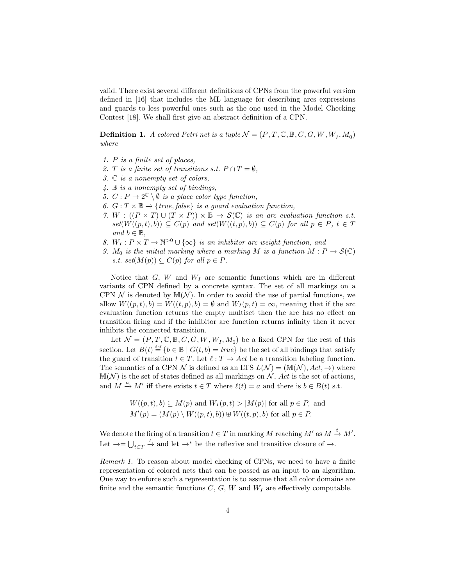valid. There exist several different definitions of CPNs from the powerful version defined in [16] that includes the ML language for describing arcs expressions and guards to less powerful ones such as the one used in the Model Checking Contest [18]. We shall first give an abstract definition of a CPN.

**Definition 1.** A colored Petri net is a tuple  $\mathcal{N} = (P, T, \mathbb{C}, \mathbb{B}, C, G, W, W_I, M_0)$ where

- 1. P is a finite set of places,
- 2. T is a finite set of transitions s.t.  $P \cap T = \emptyset$ ,
- 3. C is a nonempty set of colors,
- 4. B is a nonempty set of bindings,
- 5.  $C: P \to 2^{\mathbb{C}} \setminus \emptyset$  is a place color type function,
- 6.  $G: T \times \mathbb{B} \rightarrow \{true, false\}$  is a guard evaluation function,
- 7. W :  $((P \times T) \cup (T \times P)) \times \mathbb{B} \rightarrow \mathcal{S}(\mathbb{C})$  is an arc evaluation function s.t.  $set(W((p, t), b)) \subseteq C(p)$  and  $set(W((t, p), b)) \subseteq C(p)$  for all  $p \in P$ ,  $t \in T$ and  $b \in \mathbb{B}$ ,
- 8.  $W_I: P \times T \to \mathbb{N}^{>0} \cup {\infty}$  is an inhibitor arc weight function, and
- 9.  $M_0$  is the initial marking where a marking M is a function  $M : P \to \mathcal{S}(\mathbb{C})$ s.t. set $(M(p)) \subseteq C(p)$  for all  $p \in P$ .

Notice that  $G, W$  and  $W_I$  are semantic functions which are in different variants of CPN defined by a concrete syntax. The set of all markings on a CPN  $\mathcal N$  is denoted by  $\mathbb M(\mathcal N)$ . In order to avoid the use of partial functions, we allow  $W((p,t), b) = W((t, p), b) = \emptyset$  and  $W_I(p,t) = \infty$ , meaning that if the arc evaluation function returns the empty multiset then the arc has no effect on transition firing and if the inhibitor arc function returns infinity then it never inhibits the connected transition.

Let  $\mathcal{N} = (P, T, \mathbb{C}, \mathbb{B}, C, G, W, W_I, M_0)$  be a fixed CPN for the rest of this section. Let  $B(t) \stackrel{\text{def}}{=} \{b \in \mathbb{B} \mid G(t, b) = true\}$  be the set of all bindings that satisfy the guard of transition  $t \in T$ . Let  $\ell : T \to Act$  be a transition labeling function. The semantics of a CPN N is defined as an LTS  $L(\mathcal{N}) = (\mathbb{M}(\mathcal{N}), Act, \rightarrow)$  where  $\mathbb{M}(\mathcal{N})$  is the set of states defined as all markings on  $\mathcal{N}$ , Act is the set of actions, and  $M \stackrel{a}{\to} M'$  iff there exists  $t \in T$  where  $\ell(t) = a$  and there is  $b \in B(t)$  s.t.

$$
W((p, t), b) \subseteq M(p) \text{ and } W_I(p, t) > |M(p)| \text{ for all } p \in P, \text{ and}
$$
  

$$
M'(p) = (M(p) \setminus W((p, t), b)) \oplus W((t, p), b) \text{ for all } p \in P.
$$

We denote the firing of a transition  $t \in T$  in marking M reaching  $M'$  as  $M \stackrel{t}{\rightarrow} M'$ . Let  $\rightarrow = \bigcup_{t \in T} \stackrel{t}{\rightarrow}$  and let  $\rightarrow^*$  be the reflexive and transitive closure of  $\rightarrow$ .

Remark 1. To reason about model checking of CPNs, we need to have a finite representation of colored nets that can be passed as an input to an algorithm. One way to enforce such a representation is to assume that all color domains are finite and the semantic functions  $C, G, W$  and  $W_I$  are effectively computable.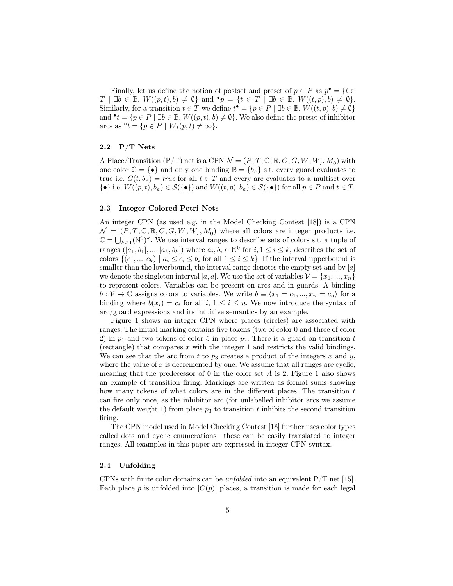Finally, let us define the notion of postset and preset of  $p \in P$  as  $p^{\bullet} = \{t \in P\}$  $T \mid \exists b \in \mathbb{B}. W((p,t), b) \neq \emptyset$  and  $\bullet p = \{t \in T \mid \exists b \in \mathbb{B}. W((t,p), b) \neq \emptyset\}.$ Similarly, for a transition  $t \in T$  we define  $t^{\bullet} = \{p \in P \mid \exists b \in \mathbb{B}.\ W((t, p), b) \neq \emptyset\}$ and  $\bullet t = \{p \in P \mid \exists b \in \mathbb{B}.\ W((p, t), b) \neq \emptyset\}.$  We also define the preset of inhibitor arcs as  $\degree t = \{p \in P \mid W_I(p, t) \neq \infty\}.$ 

#### 2.2 P/T Nets

A Place/Transition (P/T) net is a CPN  $\mathcal{N} = (P, T, \mathbb{C}, \mathbb{B}, C, G, W, W_I, M_0)$  with one color  $\mathbb{C} = \{ \bullet \}$  and only one binding  $\mathbb{B} = \{ b_{\epsilon} \}$  s.t. every guard evaluates to true i.e.  $G(t, b_{\epsilon}) = true$  for all  $t \in T$  and every arc evaluates to a multiset over  $\{\bullet\}$  i.e.  $W((p, t), b_{\epsilon}) \in \mathcal{S}(\{\bullet\})$  and  $W((t, p), b_{\epsilon}) \in \mathcal{S}(\{\bullet\})$  for all  $p \in P$  and  $t \in T$ .

#### 2.3 Integer Colored Petri Nets

An integer CPN (as used e.g. in the Model Checking Contest [18]) is a CPN  $\mathcal{N} = (\tilde{P}, T, \mathbb{C}, \mathbb{B}, C, G, W, \tilde{W}_I, M_0)$  where all colors are integer products i.e.  $\mathbb{C} = \bigcup_{k \geq 1} (\mathbb{N}^0)^k$ . We use interval ranges to describe sets of colors s.t. a tuple of ranges  $(\bar{a}_1, b_1], ..., [a_k, b_k]$  where  $a_i, b_i \in \mathbb{N}^0$  for  $i, 1 \le i \le k$ , describes the set of colors  $\{(c_1, ..., c_k) \mid a_i \leq c_i \leq b_i \text{ for all } 1 \leq i \leq k\}.$  If the interval upperbound is smaller than the lowerbound, the interval range denotes the empty set and by  $[a]$ we denote the singleton interval [a, a]. We use the set of variables  $\mathcal{V} = \{x_1, ..., x_n\}$ to represent colors. Variables can be present on arcs and in guards. A binding  $b: \mathcal{V} \to \mathbb{C}$  assigns colors to variables. We write  $b \equiv \langle x_1 = c_1, ..., x_n = c_n \rangle$  for a binding where  $b(x_i) = c_i$  for all  $i, 1 \leq i \leq n$ . We now introduce the syntax of arc/guard expressions and its intuitive semantics by an example.

Figure 1 shows an integer CPN where places (circles) are associated with ranges. The initial marking contains five tokens (two of color 0 and three of color 2) in  $p_1$  and two tokens of color 5 in place  $p_2$ . There is a guard on transition t (rectangle) that compares  $x$  with the integer 1 and restricts the valid bindings. We can see that the arc from t to  $p_3$  creates a product of the integers x and y, where the value of x is decremented by one. We assume that all ranges are cyclic, meaning that the predecessor of  $0$  in the color set  $A$  is  $2$ . Figure 1 also shows an example of transition firing. Markings are written as formal sums showing how many tokens of what colors are in the different places. The transition  $t$ can fire only once, as the inhibitor arc (for unlabelled inhibitor arcs we assume the default weight 1) from place  $p_3$  to transition t inhibits the second transition firing.

The CPN model used in Model Checking Contest [18] further uses color types called dots and cyclic enumerations—these can be easily translated to integer ranges. All examples in this paper are expressed in integer CPN syntax.

#### 2.4 Unfolding

CPNs with finite color domains can be *unfolded* into an equivalent  $P/T$  net [15]. Each place p is unfolded into  $|C(p)|$  places, a transition is made for each legal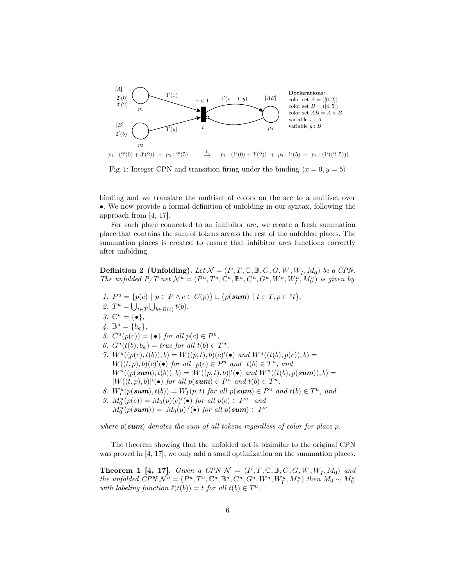

Fig. 1: Integer CPN and transition firing under the binding  $\langle x = 0, y = 5 \rangle$ 

binding and we translate the multiset of colors on the arc to a multiset over •. We now provide a formal definition of unfolding in our syntax, following the approach from [4, 17].

For each place connected to an inhibitor arc, we create a fresh summation place that contains the sum of tokens across the rest of the unfolded places. The summation places is created to ensure that inhibitor arcs functions correctly after unfolding.

**Definition 2** (Unfolding). Let  $\mathcal{N} = (P, T, \mathbb{C}, \mathbb{B}, C, G, W, W_I, M_0)$  be a CPN. The unfolded  $P/T$  net  $\mathcal{N}^u = (P^u, T^u, \mathbb{C}^u, \mathbb{B}^u, C^u, G^u, W^u, W_I^u, M_0^u)$  is given by

1.  $P^u = \{p(c) \mid p \in P \land c \in C(p)\} \cup \{p(\textbf{sum}) \mid t \in T, p \in {}^{\circ}t\},\$ 2.  $T^u = \bigcup_{t \in T} \bigcup_{b \in B(t)} t(b),$ 3.  $\mathbb{C}^u = \{ \bullet \},\$ 4.  $\mathbb{B}^u = \{b_\varepsilon\},\,$ 5.  $C^u(p(c)) = \{ \bullet \}$  for all  $p(c) \in P^u$ , 6.  $G^u(t(b), b_\epsilon) = \text{true}$  for all  $t(b) \in T^u$ , 7.  $W^u((p(c), t(b)), b) = W((p, t), b)(c)'(\bullet)$  and  $W^u((t(b), p(c)), b) =$  $W((t, p), b)(c)'(\bullet)$  for all  $p(c) \in P^u$  and  $t(b) \in T^u$ , and  $W^u((p(\textbf{sum}), t(b)), b) = |W((p, t), b)|'(\bullet)$  and  $W^u((t(b), p(\textbf{sum})), b) =$  $|W((t, p), b)|'(\bullet)$  for all  $p(\textbf{sum}) \in P^u$  and  $t(b) \in T^u$ , 8.  $W_I^u(p(\textbf{sum}), t(b)) = W_I(p, t)$  for all  $p(\textbf{sum}) \in P^u$  and  $t(b) \in T^u$ , and 9.  $M_0^u(p(c)) = M_0(p)(c)'(\bullet)$  for all  $p(c) \in P^u$  and  $M_0^u(p(\textbf{sum})) = |M_0(p)|'(\bullet)$  for all  $p(\textbf{sum}) \in P^u$ 

where  $p(\textbf{sum})$  denotes the sum of all tokens regardless of color for place p.

The theorem showing that the unfolded net is bisimilar to the original CPN was proved in [4, 17]; we only add a small optimization on the summation places.

**Theorem 1 [4, 17].** Given a CPN  $\mathcal{N} = (P, T, \mathbb{C}, \mathbb{B}, C, G, W, W_I, M_0)$  and the unfolded CPN  $\mathcal{N}^u = (P^u, T^u, \mathbb{C}^u, \mathbb{B}^u, C^u, G^u, W^u, W_I^u, M_0^u)$  then  $M_0 \sim M_0^u$ with labeling function  $\ell(t(b)) = t$  for all  $t(b) \in T^u$ .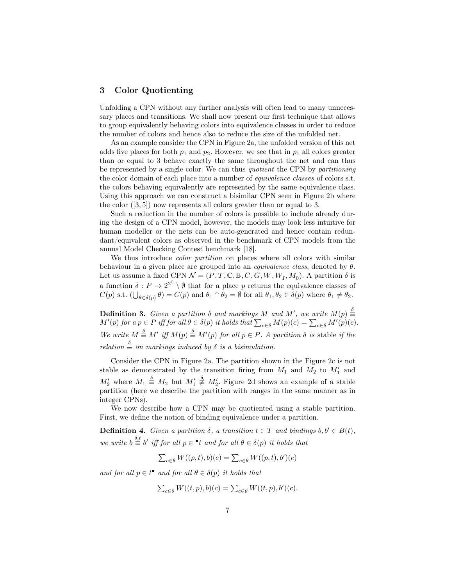## 3 Color Quotienting

Unfolding a CPN without any further analysis will often lead to many unnecessary places and transitions. We shall now present our first technique that allows to group equivalently behaving colors into equivalence classes in order to reduce the number of colors and hence also to reduce the size of the unfolded net.

As an example consider the CPN in Figure 2a, the unfolded version of this net adds five places for both  $p_1$  and  $p_2$ . However, we see that in  $p_1$  all colors greater than or equal to 3 behave exactly the same throughout the net and can thus be represented by a single color. We can thus quotient the CPN by partitioning the color domain of each place into a number of equivalence classes of colors s.t. the colors behaving equivalently are represented by the same equivalence class. Using this approach we can construct a bisimilar CPN seen in Figure 2b where the color ([3, 5]) now represents all colors greater than or equal to 3.

Such a reduction in the number of colors is possible to include already during the design of a CPN model, however, the models may look less intuitive for human modeller or the nets can be auto-generated and hence contain redundant/equivalent colors as observed in the benchmark of CPN models from the annual Model Checking Contest benchmark [18].

We thus introduce *color partition* on places where all colors with similar behaviour in a given place are grouped into an *equivalence class*, denoted by  $\theta$ . Let us assume a fixed CPN  $\mathcal{N} = (P, T, \mathbb{C}, \mathbb{B}, C, G, W, W_I, M_0)$ . A partition  $\delta$  is a function  $\delta: P \to 2^{2^{\mathbb{C}}} \setminus \emptyset$  that for a place p returns the equivalence classes of  $C(p)$  s.t.  $\left(\bigcup_{\theta \in \delta(p)} \theta\right) = C(p)$  and  $\theta_1 \cap \theta_2 = \emptyset$  for all  $\theta_1, \theta_2 \in \delta(p)$  where  $\theta_1 \neq \theta_2$ .

**Definition 3.** Given a partition  $\delta$  and markings M and M', we write  $M(p) \stackrel{\delta}{\equiv}$  $M'(p)$  for a  $p \in P$  iff for all  $\theta \in \delta(p)$  it holds that  $\sum_{c \in \theta} M(p)(c) = \sum_{c \in \theta} M'(p)(c)$ . We write  $M \triangleq M'$  iff  $M(p) \triangleq M'(p)$  for all  $p \in P$ . A partition  $\delta$  is stable if the relation  $\stackrel{\delta}{\equiv}$  on markings induced by  $\delta$  is a bisimulation.

Consider the CPN in Figure 2a. The partition shown in the Figure 2c is not stable as demonstrated by the transition firing from  $M_1$  and  $M_2$  to  $M'_1$  and  $M'_2$  where  $M_1 \stackrel{\delta}{\equiv} M_2$  but  $M'_1 \stackrel{\delta}{\neq} M'_2$ . Figure 2d shows an example of a stable partition (here we describe the partition with ranges in the same manner as in integer CPNs).

We now describe how a CPN may be quotiented using a stable partition. First, we define the notion of binding equivalence under a partition.

**Definition 4.** Given a partition  $\delta$ , a transition  $t \in T$  and bindings  $b, b' \in B(t)$ , we write  $b \stackrel{\delta,t}{\equiv} b'$  iff for all  $p \in \text{!}$  and for all  $\theta \in \delta(p)$  it holds that

$$
\sum_{c \in \theta} W((p, t), b)(c) = \sum_{c \in \theta} W((p, t), b')(c)
$$

and for all  $p \in t^{\bullet}$  and for all  $\theta \in \delta(p)$  it holds that

$$
\sum_{c \in \theta} W((t, p), b)(c) = \sum_{c \in \theta} W((t, p), b')(c).
$$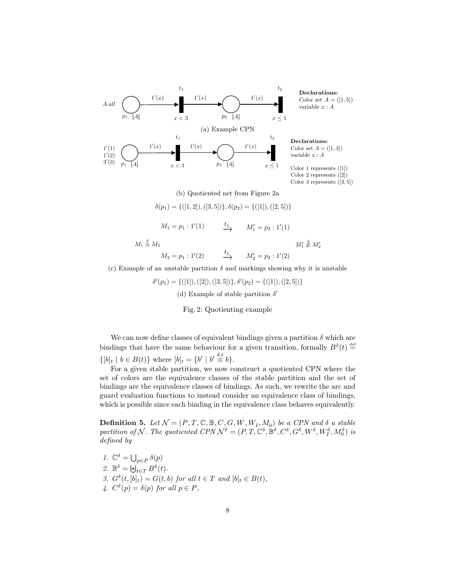

#### (b) Quotiented net from Figure 2a

$$
\delta(p_1) = \{([1,2]), ([3,5])\}, \delta(p_2) = \{([1]), ([2,5])\}
$$

 $M_1 = p_1 : 1'(1)$  $\overset{t_1}{\longrightarrow}$  $M'_1 = p_2 : 1'(1)$ 

 $M_1 \stackrel{\delta}{\equiv}$ 

 $M_2 = p_1 : 1'(2)$  $\xrightarrow{t_1} \qquad M'_2 = p_2 : 1'(2)$  $\stackrel{\circ}{=} M_2$   $M'_1$ 

 $j'_1 \stackrel{\delta}{\not\equiv} M'_2$ 

(c) Example of an unstable partition  $\delta$  and markings showing why it is unstable

 $\delta'(p_1) = \{([1]), ([2]), ([3, 5])\}, \delta'(p_2) = \{([1]), ([2, 5])\}$ (d) Example of stable partition  $\delta'$ 

Fig. 2: Quotienting example

We can now define classes of equivalent bindings given a partition  $\delta$  which are bindings that have the same behaviour for a given transition, formally  $B^{\delta}(t) \stackrel{\text{def}}{=}$  $\{[b]_t \mid b \in B(t)\}\$  where  $[b]_t = \{b' \mid b' \stackrel{\delta,t}{\equiv} b\}.$ 

For a given stable partition, we now construct a quotiented CPN where the set of colors are the equivalence classes of the stable partition and the set of bindings are the equivalence classes of bindings. As such, we rewrite the arc and guard evaluation functions to instead consider an equivalence class of bindings, which is possible since each binding in the equivalence class behaves equivalently.

**Definition 5.** Let  $\mathcal{N} = (P, T, \mathbb{C}, \mathbb{B}, C, G, W, W_I, M_0)$  be a CPN and  $\delta$  a stable partition of N. The quotiented CPN  $\mathcal{N}^{\delta} = (P, T, \mathbb{C}^{\delta}, \mathbb{B}^{\delta}, C^{\delta}, G^{\delta}, W^{\delta}, W^{\delta}_I, M^{\delta}_0)$  is defined by

1.  $\mathbb{C}^{\delta} = \bigcup_{p \in P} \delta(p)$ 2.  $\mathbb{B}^{\delta} = \biguplus_{t \in T} B^{\delta}(t)$ . 3.  $G^{\delta}(t,[b]_t) = G(t,b)$  for all  $t \in T$  and  $[b]_t \in B(t)$ , 4.  $C^{\delta}(p) = \delta(p)$  for all  $p \in P$ ,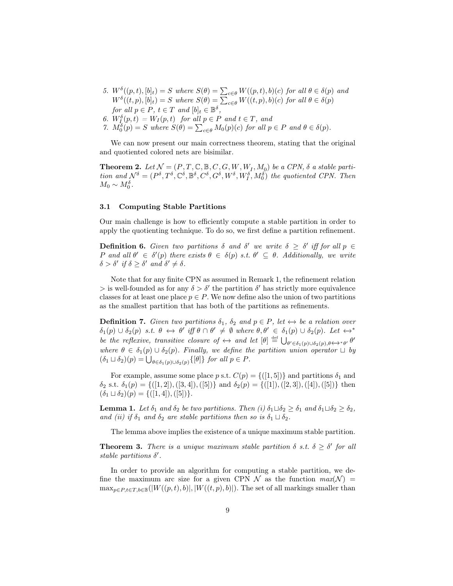- 5.  $W^{\delta}((p,t), [b]_t) = S$  where  $S(\theta) = \sum_{c \in \theta} W((p,t), b)(c)$  for all  $\theta \in \delta(p)$  and  $W^{\delta}((t, p), [b]_t) = S$  where  $S(\theta) = \sum_{c \in \theta} W((t, p), b)(c)$  for all  $\theta \in \delta(p)$ for all  $p \in P$ ,  $t \in T$  and  $[b]_t \in \mathbb{B}^{\delta}$ ,
- 6.  $W_{I_{\alpha}}^{\delta}(p,t) = W_{I}(p,t)$  for all  $p \in P$  and  $t \in T$ , and
- 7.  $M_0^{\delta}(p) = S$  where  $S(\theta) = \sum_{c \in \theta} M_0(p)(c)$  for all  $p \in P$  and  $\theta \in \delta(p)$ .

We can now present our main correctness theorem, stating that the original and quotiented colored nets are bisimilar.

**Theorem 2.** Let  $\mathcal{N} = (P, T, \mathbb{C}, \mathbb{B}, C, G, W, W_I, M_0)$  be a CPN,  $\delta$  a stable partition and  $\mathcal{N}^{\delta} = (P^{\delta}, T^{\delta}, \mathbb{C}^{\delta}, \mathbb{B}^{\delta}, C^{\delta}, G^{\delta}, W^{\delta}, W^{\delta}, W^{\delta}_{I}, M^{\delta}_{0})$  the quotiented CPN. Then  $M_0 \sim M_0^{\delta}$ .

#### 3.1 Computing Stable Partitions

Our main challenge is how to efficiently compute a stable partition in order to apply the quotienting technique. To do so, we first define a partition refinement.

**Definition 6.** Given two partitions  $\delta$  and  $\delta'$  we write  $\delta \geq \delta'$  iff for all  $p \in$ P and all  $\theta' \in \delta'(p)$  there exists  $\theta \in \delta(p)$  s.t.  $\theta' \subseteq \theta$ . Additionally, we write  $\delta > \delta'$  if  $\delta \geq \delta'$  and  $\delta' \neq \delta$ .

Note that for any finite CPN as assumed in Remark 1, the refinement relation  $\geq$  is well-founded as for any  $\delta > \delta'$  the partition  $\delta'$  has strictly more equivalence classes for at least one place  $p \in P$ . We now define also the union of two partitions as the smallest partition that has both of the partitions as refinements.

**Definition 7.** Given two partitions  $\delta_1$ ,  $\delta_2$  and  $p \in P$ , let  $\leftrightarrow$  be a relation over  $\delta_1(p) \cup \delta_2(p)$  s.t.  $\theta \leftrightarrow \theta'$  iff  $\theta \cap \theta' \neq \emptyset$  where  $\theta, \theta' \in \delta_1(p) \cup \delta_2(p)$ . Let  $\leftrightarrow^*$ be the reflexive, transitive closure of  $\leftrightarrow$  and let  $[\theta] \stackrel{\text{def}}{=} \bigcup_{\theta' \in \delta_1(p) \cup \delta_2(p), \theta \leftrightarrow^* \theta'} \theta'$ where  $\theta \in \delta_1(p) \cup \delta_2(p)$ . Finally, we define the partition union operator  $\Box$  by  $(\delta_1 \sqcup \delta_2)(p) = \bigcup_{\theta \in \delta_1(p) \cup \delta_2(p)} \{ [\theta] \}$  for all  $p \in P$ .

For example, assume some place p s.t.  $C(p) = \{(1, 5)\}\$ and partitions  $\delta_1$  and  $\delta_2$  s.t.  $\delta_1(p) = \{([1, 2]), ([3, 4]), ([5])\}$  and  $\delta_2(p) = \{([1]), ([2, 3]), ([4]), ([5])\}$  then  $(\delta_1 \sqcup \delta_2)(p) = \{([1, 4]), ([5])\}.$ 

**Lemma 1.** Let  $\delta_1$  and  $\delta_2$  be two partitions. Then (i)  $\delta_1 \sqcup \delta_2 \geq \delta_1$  and  $\delta_1 \sqcup \delta_2 \geq \delta_2$ , and (ii) if  $\delta_1$  and  $\delta_2$  are stable partitions then so is  $\delta_1 \sqcup \delta_2$ .

The lemma above implies the existence of a unique maximum stable partition.

**Theorem 3.** There is a unique maximum stable partition  $\delta$  s.t.  $\delta \geq \delta'$  for all stable partitions  $\delta'$ .

In order to provide an algorithm for computing a stable partition, we define the maximum arc size for a given CPN  $\mathcal N$  as the function  $max(\mathcal N)$  =  $\max_{p \in P, t \in T, b \in \mathbb{B}}(|W((p, t), b)|, |W((t, p), b)|)$ . The set of all markings smaller than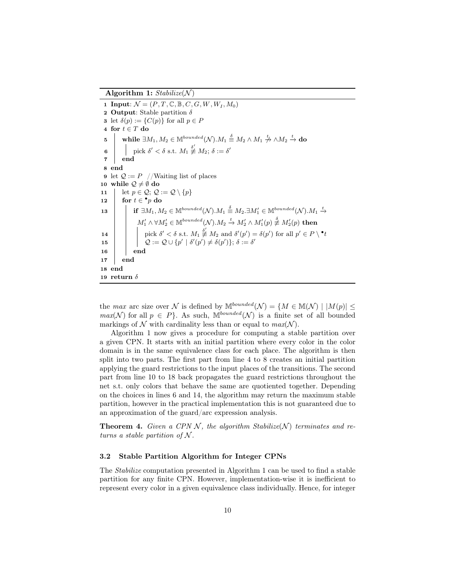Algorithm 1:  $Stabilize(N)$ 

1 Input:  $\mathcal{N} = (P, T, \mathbb{C}, \mathbb{B}, C, G, W, W_I, M_0)$ 2 Output: Stable partition  $\delta$ **3** let  $\delta(p) := \{C(p)\}\$ for all  $p \in P$ 4 for  $t \in T$  do  $\begin{array}{rcl} \textbf{5} & \quad \textbf{while} \ \exists M_1,M_2 \in \mathbb{M}^{bounded}(\mathcal{N}). M_1 \stackrel{\delta}{=} M_2 \wedge M_1 \not\stackrel{t_{\ell}}{\rightarrow} \wedge M_2 \stackrel{t}{\rightarrow} \textbf{do} \end{array}$  $\begin{array}{|c|c|c|}\n\hline\n6 & \multicolumn{1}{|c|}{\text{pick }} \delta' < \delta \text{ s.t. } M_1 \not\equiv M_2; \, \delta := \delta' \end{array}$ 7 end 8 end 9 let  $\mathcal{Q} := P$  //Waiting list of places 10 while  $\mathcal{Q} \neq \emptyset$  do 11 | let  $p \in \mathcal{Q}$ ;  $\mathcal{Q} := \mathcal{Q} \setminus \{p\}$  $\mathtt{12} \quad | \quad \mathtt{for} \; t \in {^\bullet} p \; \mathtt{do}$  $\textbf{13} \quad \Big\vert \quad \text{ if } \exists M_1, M_2 \in \mathbb{M}^{bounded}(\mathcal{N}). M_1 \stackrel{\delta}{\equiv} M_2. \exists M'_1 \in \mathbb{M}^{bounded}(\mathcal{N}). M_1 \stackrel{t}{\rightarrow}$  $M_1'\wedge \forall M_2'\in \mathbb{M}^{bounded}(\mathcal{N}).M_2\overset{t}{\rightarrow}M_2'\wedge M_1'(p)\overset{\delta}{\not\equiv}M_2'(p)\,\,\textbf{then}$ 14 iii bick  $\delta' < \delta$  s.t.  $M_1 \overset{\delta'}{\not\equiv} M_2$  and  $\delta'(p') = \delta(p')$  for all  $p' \in P \setminus {}^{\bullet}t$  $\boxed{15} \quad | \quad | \quad \mathcal{Q} := \mathcal{Q} \cup \{p' \mid \delta'(p') \neq \delta(p')\}; \, \delta := \delta'$  $16$  | end 17 end 18 end 19 return  $\delta$ 

the max arc size over N is defined by  $M^{bounded}(\mathcal{N}) = \{M \in M(\mathcal{N}) \mid |M(p)| \leq$  $max(\mathcal{N})$  for all  $p \in P$ . As such,  $M^{bounded}(\mathcal{N})$  is a finite set of all bounded markings of N with cardinality less than or equal to  $max(N)$ .

Algorithm 1 now gives a procedure for computing a stable partition over a given CPN. It starts with an initial partition where every color in the color domain is in the same equivalence class for each place. The algorithm is then split into two parts. The first part from line 4 to 8 creates an initial partition applying the guard restrictions to the input places of the transitions. The second part from line 10 to 18 back propagates the guard restrictions throughout the net s.t. only colors that behave the same are quotiented together. Depending on the choices in lines 6 and 14, the algorithm may return the maximum stable partition, however in the practical implementation this is not guaranteed due to an approximation of the guard/arc expression analysis.

**Theorem 4.** Given a CPN N, the algorithm Stabilize(N) terminates and returns a stable partition of  $N$ .

#### 3.2 Stable Partition Algorithm for Integer CPNs

The Stabilize computation presented in Algorithm 1 can be used to find a stable partition for any finite CPN. However, implementation-wise it is inefficient to represent every color in a given equivalence class individually. Hence, for integer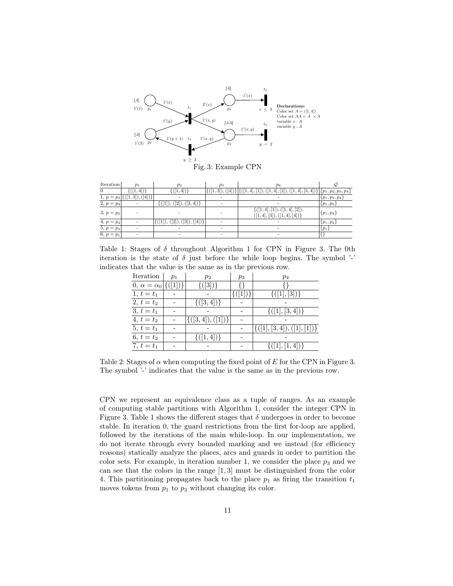

| Iteration    | $p_1$              | $p_2$                                                                    | $p_3$                | p <sub>4</sub>                                                            |                     |
|--------------|--------------------|--------------------------------------------------------------------------|----------------------|---------------------------------------------------------------------------|---------------------|
| $\theta$     | $\{(1,4)\}\$       | $([1,4])\}$                                                              | $\{([1,3]), ([4])\}$ | $\{4, 4, 11), ([1, 4], [2]), ([1, 4], [3, 4])\}$ $\{p_1, p_2, p_3, p_4\}$ |                     |
| 1, $p = p_3$ | $([1,3]), ([4])\}$ |                                                                          |                      |                                                                           | $\{p_1, p_2, p_4\}$ |
| 2, $p = p_4$ |                    | $\{([1]), ([2]), ([3,4])\}$                                              |                      |                                                                           | $\{p_1, p_2\}$      |
| $3, p = p_2$ |                    |                                                                          |                      | ${([1,4],[1]), ([1,4],[2])},$<br>$([1,4],[3]), ([1,4],[4])\}$             | $\{p_1, p_4\}$      |
| $4, p = p_4$ |                    | $([2]), ([3]), ([4])\}$<br>$\left( \left\lceil 1 \right\rceil \right)$ , |                      |                                                                           | $\{p_1, p_2\}$      |
| $5, p = p_2$ |                    |                                                                          |                      |                                                                           | $\{p_1\}$           |
| 6, $p = p_1$ |                    |                                                                          |                      |                                                                           |                     |

Table 1: Stages of  $\delta$  throughout Algorithm 1 for CPN in Figure 3. The 0th iteration is the state of  $\delta$  just before the while loop begins. The symbol '-' indicates that the value is the same as in the previous row.

| Iteration                               | $p_1$ | $p_2$                | $p_3$ | $p_4$                       |
|-----------------------------------------|-------|----------------------|-------|-----------------------------|
| $[0, \alpha = \alpha_0 \vert \{([1])\}$ |       | $\{(3)\}\$           |       |                             |
| 1, $t = t_1$                            |       |                      | ( 1 ) | $\{(1, 3)\}\$               |
| $\overline{2, t} = t_2$                 |       | $\{(3,4)\}\$         |       |                             |
| $3, t = t_1$                            |       |                      |       | $\{([1],[3,4])\}$           |
| $4, t = t_2$                            |       | $\{([3,4]), ([1])\}$ |       |                             |
| $\overline{5, t} = t_1$                 |       |                      |       | $\{([1],[3,4]),([1],[1])\}$ |
| 6, $t = t_2$                            |       | $\{( 1,4 )\}\$       |       |                             |
| 7, $t = t_1$                            |       |                      |       | $\{([1],[1,4])\}$           |

Table 2: Stages of  $\alpha$  when computing the fixed point of E for the CPN in Figure 3. The symbol '-' indicates that the value is the same as in the previous row.

CPN we represent an equivalence class as a tuple of ranges. As an example of computing stable partitions with Algorithm 1, consider the integer CPN in Figure 3. Table 1 shows the different stages that  $\delta$  undergoes in order to become stable. In iteration 0, the guard restrictions from the first for-loop are applied, followed by the iterations of the main while-loop. In our implementation, we do not iterate through every bounded marking and we instead (for efficiency reasons) statically analyze the places, arcs and guards in order to partition the color sets. For example, in iteration number 1, we consider the place  $p_3$  and we can see that the colors in the range  $[1,3]$  must be distinguished from the color 4. This partitioning propagates back to the place  $p_1$  as firing the transition  $t_1$ moves tokens from  $p_1$  to  $p_3$  without changing its color.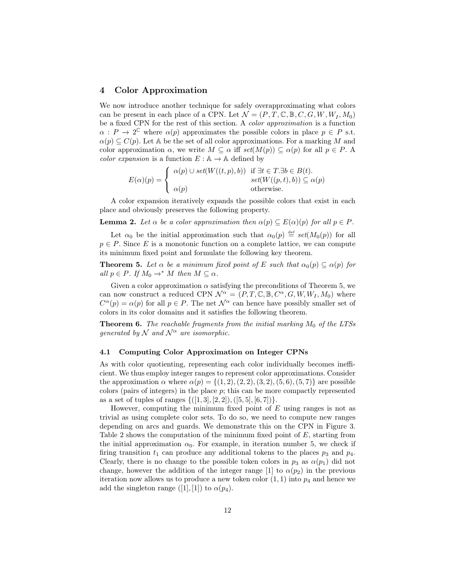#### 4 Color Approximation

We now introduce another technique for safely overapproximating what colors can be present in each place of a CPN. Let  $\mathcal{N}=(P,T,\mathbb{C},\mathbb{B},C,G,W,W_I,M_0)$ be a fixed CPN for the rest of this section. A color approximation is a function  $\alpha$ :  $P \to 2^{\mathbb{C}}$  where  $\alpha(p)$  approximates the possible colors in place  $p \in P$  s.t.  $\alpha(p) \subseteq C(p)$ . Let A be the set of all color approximations. For a marking M and color approximation  $\alpha$ , we write  $M \subseteq \alpha$  iff  $set(M(p)) \subseteq \alpha(p)$  for all  $p \in P$ . A color expansion is a function  $E : A \to A$  defined by

$$
E(\alpha)(p) = \begin{cases} \alpha(p) \cup set(W((t, p), b)) & \text{if } \exists t \in T. \exists b \in B(t). \\ set(W((p, t), b)) \subseteq \alpha(p) \\ \alpha(p) & \text{otherwise.} \end{cases}
$$

A color expansion iteratively expands the possible colors that exist in each place and obviously preserves the following property.

**Lemma 2.** Let  $\alpha$  be a color approximation then  $\alpha(p) \subseteq E(\alpha)(p)$  for all  $p \in P$ .

Let  $\alpha_0$  be the initial approximation such that  $\alpha_0(p) \stackrel{\text{def}}{=} set(M_0(p))$  for all  $p \in P$ . Since E is a monotonic function on a complete lattice, we can compute its minimum fixed point and formulate the following key theorem.

**Theorem 5.** Let  $\alpha$  be a minimum fixed point of E such that  $\alpha_0(p) \subseteq \alpha(p)$  for all  $p \in P$ . If  $M_0 \to^* M$  then  $M \subseteq \alpha$ .

Given a color approximation  $\alpha$  satisfying the preconditions of Theorem 5, we can now construct a reduced CPN  $\mathcal{N}^{\alpha} = (P, T, \mathbb{C}, \mathbb{B}, C^{\alpha}, G, W, W_I, M_0)$  where  $C^{\alpha}(p) = \alpha(p)$  for all  $p \in P$ . The net  $\mathcal{N}^{\alpha}$  can hence have possibly smaller set of colors in its color domains and it satisfies the following theorem.

**Theorem 6.** The reachable fragments from the initial marking  $M_0$  of the LTSs generated by N and  $\mathcal{N}^{\alpha}$  are isomorphic.

#### 4.1 Computing Color Approximation on Integer CPNs

As with color quotienting, representing each color individually becomes inefficient. We thus employ integer ranges to represent color approximations. Consider the approximation  $\alpha$  where  $\alpha(p) = \{(1, 2), (2, 2), (3, 2), (5, 6), (5, 7)\}\)$  are possible colors (pairs of integers) in the place  $p$ ; this can be more compactly represented as a set of tuples of ranges  $\{([1, 3], [2, 2]), ([5, 5], [6, 7])\}.$ 

However, computing the minimum fixed point of  $E$  using ranges is not as trivial as using complete color sets. To do so, we need to compute new ranges depending on arcs and guards. We demonstrate this on the CPN in Figure 3. Table 2 shows the computation of the minimum fixed point of E, starting from the initial approximation  $\alpha_0$ . For example, in iteration number 5, we check if firing transition  $t_1$  can produce any additional tokens to the places  $p_3$  and  $p_4$ . Clearly, there is no change to the possible token colors in  $p_3$  as  $\alpha(p_1)$  did not change, however the addition of the integer range [1] to  $\alpha(p_2)$  in the previous iteration now allows us to produce a new token color  $(1, 1)$  into  $p_4$  and hence we add the singleton range ([1], [1]) to  $\alpha(p_4)$ .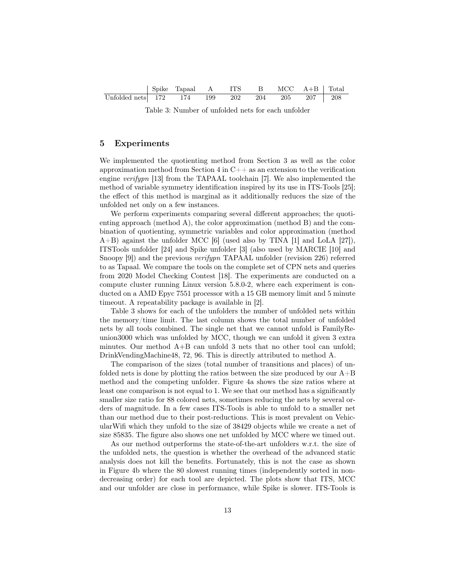|                                               | Spike Tapaal A ITS B MCC A+B Total |  |  |  |
|-----------------------------------------------|------------------------------------|--|--|--|
| Unfolded nets 172 174 199 202 204 205 207 208 |                                    |  |  |  |

Table 3: Number of unfolded nets for each unfolder

## 5 Experiments

We implemented the quotienting method from Section 3 as well as the color approximation method from Section 4 in  $C_{++}$  as an extension to the verification engine verifypn [13] from the TAPAAL toolchain [7]. We also implemented the method of variable symmetry identification inspired by its use in ITS-Tools [25]; the effect of this method is marginal as it additionally reduces the size of the unfolded net only on a few instances.

We perform experiments comparing several different approaches; the quotienting approach (method A), the color approximation (method B) and the combination of quotienting, symmetric variables and color approximation (method A+B) against the unfolder MCC [6] (used also by TINA [1] and LoLA [27]), ITSTools unfolder [24] and Spike unfolder [3] (also used by MARCIE [10] and Snoopy [9]) and the previous *verifypn* TAPAAL unfolder (revision 226) referred to as Tapaal. We compare the tools on the complete set of CPN nets and queries from 2020 Model Checking Contest [18]. The experiments are conducted on a compute cluster running Linux version 5.8.0-2, where each experiment is conducted on a AMD Epyc 7551 processor with a 15 GB memory limit and 5 minute timeout. A repeatability package is available in [2].

Table 3 shows for each of the unfolders the number of unfolded nets within the memory/time limit. The last column shows the total number of unfolded nets by all tools combined. The single net that we cannot unfold is FamilyReunion3000 which was unfolded by MCC, though we can unfold it given 3 extra minutes. Our method A+B can unfold 3 nets that no other tool can unfold; DrinkVendingMachine48, 72, 96. This is directly attributed to method A.

The comparison of the sizes (total number of transitions and places) of unfolded nets is done by plotting the ratios between the size produced by our  $A+B$ method and the competing unfolder. Figure 4a shows the size ratios where at least one comparison is not equal to 1. We see that our method has a significantly smaller size ratio for 88 colored nets, sometimes reducing the nets by several orders of magnitude. In a few cases ITS-Tools is able to unfold to a smaller net than our method due to their post-reductions. This is most prevalent on VehicularWifi which they unfold to the size of 38429 objects while we create a net of size 85835. The figure also shows one net unfolded by MCC where we timed out.

As our method outperforms the state-of-the-art unfolders w.r.t. the size of the unfolded nets, the question is whether the overhead of the advanced static analysis does not kill the benefits. Fortunately, this is not the case as shown in Figure 4b where the 80 slowest running times (independently sorted in nondecreasing order) for each tool are depicted. The plots show that ITS, MCC and our unfolder are close in performance, while Spike is slower. ITS-Tools is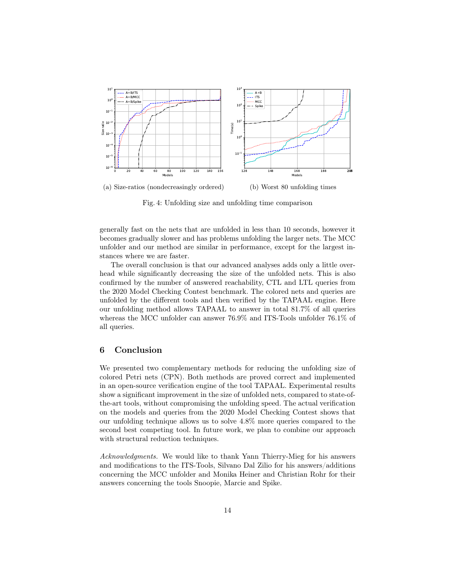

Fig. 4: Unfolding size and unfolding time comparison

generally fast on the nets that are unfolded in less than 10 seconds, however it becomes gradually slower and has problems unfolding the larger nets. The MCC unfolder and our method are similar in performance, except for the largest instances where we are faster.

The overall conclusion is that our advanced analyses adds only a little overhead while significantly decreasing the size of the unfolded nets. This is also confirmed by the number of answered reachability, CTL and LTL queries from the 2020 Model Checking Contest benchmark. The colored nets and queries are unfolded by the different tools and then verified by the TAPAAL engine. Here our unfolding method allows TAPAAL to answer in total 81.7% of all queries whereas the MCC unfolder can answer 76.9% and ITS-Tools unfolder 76.1% of all queries.

## 6 Conclusion

We presented two complementary methods for reducing the unfolding size of colored Petri nets (CPN). Both methods are proved correct and implemented in an open-source verification engine of the tool TAPAAL. Experimental results show a significant improvement in the size of unfolded nets, compared to state-ofthe-art tools, without compromising the unfolding speed. The actual verification on the models and queries from the 2020 Model Checking Contest shows that our unfolding technique allows us to solve 4.8% more queries compared to the second best competing tool. In future work, we plan to combine our approach with structural reduction techniques.

Acknowledgments. We would like to thank Yann Thierry-Mieg for his answers and modifications to the ITS-Tools, Silvano Dal Zilio for his answers/additions concerning the MCC unfolder and Monika Heiner and Christian Rohr for their answers concerning the tools Snoopie, Marcie and Spike.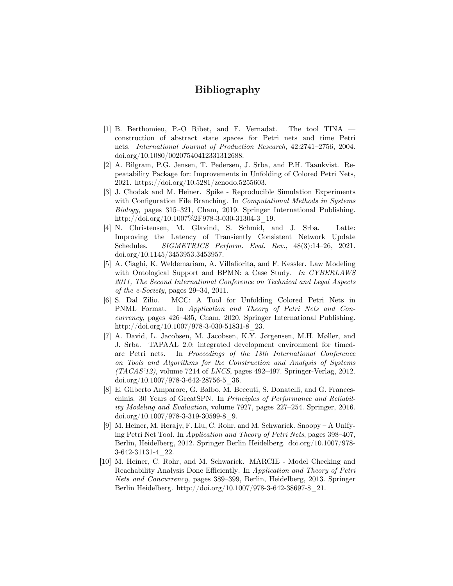# Bibliography

- [1] B. Berthomieu, P.-O Ribet, and F. Vernadat. The tool TINA construction of abstract state spaces for Petri nets and time Petri nets. International Journal of Production Research, 42:2741–2756, 2004. doi.org/10.1080/00207540412331312688.
- [2] A. Bilgram, P.G. Jensen, T. Pedersen, J. Srba, and P.H. Taankvist. Repeatability Package for: Improvements in Unfolding of Colored Petri Nets, 2021. https://doi.org/10.5281/zenodo.5255603.
- [3] J. Chodak and M. Heiner. Spike Reproducible Simulation Experiments with Configuration File Branching. In *Computational Methods in Systems* Biology, pages 315–321, Cham, 2019. Springer International Publishing. http://doi.org/10.1007%2F978-3-030-31304-3\_19.
- [4] N. Christensen, M. Glavind, S. Schmid, and J. Srba. Latte: Improving the Latency of Transiently Consistent Network Update Schedules. SIGMETRICS Perform. Eval. Rev., 48(3):14-26, 2021. doi.org/10.1145/3453953.3453957.
- [5] A. Ciaghi, K. Weldemariam, A. Villafiorita, and F. Kessler. Law Modeling with Ontological Support and BPMN: a Case Study. In CYBERLAWS 2011, The Second International Conference on Technical and Legal Aspects of the e-Society, pages 29–34, 2011.
- [6] S. Dal Zilio. MCC: A Tool for Unfolding Colored Petri Nets in PNML Format. In Application and Theory of Petri Nets and Concurrency, pages 426–435, Cham, 2020. Springer International Publishing. http://doi.org/10.1007/978-3-030-51831-8\_23.
- [7] A. David, L. Jacobsen, M. Jacobsen, K.Y. Jørgensen, M.H. Møller, and J. Srba. TAPAAL 2.0: integrated development environment for timedarc Petri nets. In Proceedings of the 18th International Conference on Tools and Algorithms for the Construction and Analysis of Systems  $(TACAS'12)$ , volume 7214 of *LNCS*, pages 492–497. Springer-Verlag, 2012.  $\frac{\text{doi.org}}{10.1007}/978-3-642-28756-5}$  36.
- [8] E. Gilberto Amparore, G. Balbo, M. Beccuti, S. Donatelli, and G. Franceschinis. 30 Years of GreatSPN. In Principles of Performance and Reliability Modeling and Evaluation, volume 7927, pages 227–254. Springer, 2016.  $\frac{\text{doi.org}}{10.1007}/\frac{978-3-319-30599-8}{9}.$
- [9] M. Heiner, M. Herajy, F. Liu, C. Rohr, and M. Schwarick. Snoopy A Unifying Petri Net Tool. In Application and Theory of Petri Nets, pages 398–407, Berlin, Heidelberg, 2012. Springer Berlin Heidelberg. doi.org/10.1007/978- 3-642-31131-4\_22.
- [10] M. Heiner, C. Rohr, and M. Schwarick. MARCIE Model Checking and Reachability Analysis Done Efficiently. In Application and Theory of Petri Nets and Concurrency, pages 389–399, Berlin, Heidelberg, 2013. Springer Berlin Heidelberg. http://doi.org/10.1007/978-3-642-38697-8\_21.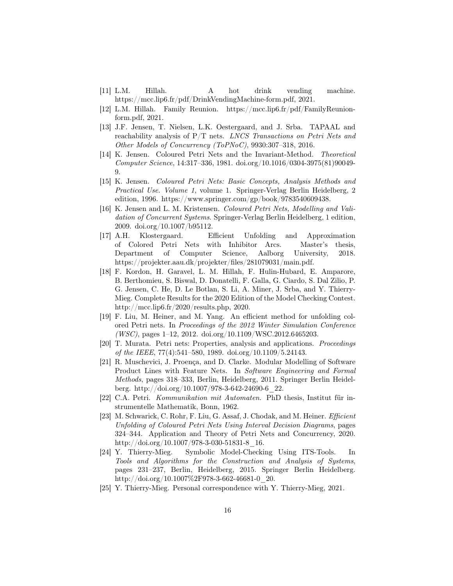- [11] L.M. Hillah. A hot drink vending machine. https://mcc.lip6.fr/pdf/DrinkVendingMachine-form.pdf, 2021.
- [12] L.M. Hillah. Family Reunion. https://mcc.lip6.fr/pdf/FamilyReunionform.pdf, 2021.
- [13] J.F. Jensen, T. Nielsen, L.K. Oestergaard, and J. Srba. TAPAAL and reachability analysis of  $P/T$  nets. *LNCS Transactions on Petri Nets and* Other Models of Concurrency (ToPNoC), 9930:307–318, 2016.
- [14] K. Jensen. Coloured Petri Nets and the Invariant-Method. Theoretical Computer Science, 14:317–336, 1981. doi.org/10.1016/0304-3975(81)90049- 9.
- [15] K. Jensen. Coloured Petri Nets: Basic Concepts, Analysis Methods and Practical Use. Volume 1, volume 1. Springer-Verlag Berlin Heidelberg, 2 edition, 1996. https://www.springer.com/gp/book/9783540609438.
- [16] K. Jensen and L. M. Kristensen. Coloured Petri Nets, Modelling and Validation of Concurrent Systems. Springer-Verlag Berlin Heidelberg, 1 edition, 2009. doi.org/10.1007/b95112.
- [17] A.H. Klostergaard. Efficient Unfolding and Approximation of Colored Petri Nets with Inhibitor Arcs. Master's thesis, Department of Computer Science, Aalborg University, 2018. https://projekter.aau.dk/projekter/files/281079031/main.pdf.
- [18] F. Kordon, H. Garavel, L. M. Hillah, F. Hulin-Hubard, E. Amparore, B. Berthomieu, S. Biswal, D. Donatelli, F. Galla, G. Ciardo, S. Dal Zilio, P. G. Jensen, C. He, D. Le Botlan, S. Li, A. Miner, J. Srba, and Y. Thierry-Mieg. Complete Results for the 2020 Edition of the Model Checking Contest. http://mcc.lip6.fr/2020/results.php, 2020.
- [19] F. Liu, M. Heiner, and M. Yang. An efficient method for unfolding colored Petri nets. In Proceedings of the 2012 Winter Simulation Conference (WSC), pages 1–12, 2012. doi.org/10.1109/WSC.2012.6465203.
- [20] T. Murata. Petri nets: Properties, analysis and applications. Proceedings of the IEEE, 77(4):541–580, 1989. doi.org/10.1109/5.24143.
- [21] R. Muschevici, J. Proença, and D. Clarke. Modular Modelling of Software Product Lines with Feature Nets. In Software Engineering and Formal Methods, pages 318–333, Berlin, Heidelberg, 2011. Springer Berlin Heidelberg. http://doi.org/10.1007/978-3-642-24690-6\_22.
- [22] C.A. Petri. Kommunikation mit Automaten. PhD thesis, Institut für instrumentelle Mathematik, Bonn, 1962.
- [23] M. Schwarick, C. Rohr, F. Liu, G. Assaf, J. Chodak, and M. Heiner. *Efficient* Unfolding of Coloured Petri Nets Using Interval Decision Diagrams, pages 324–344. Application and Theory of Petri Nets and Concurrency, 2020. http://doi.org/10.1007/978-3-030-51831-8\_16.
- [24] Y. Thierry-Mieg. Symbolic Model-Checking Using ITS-Tools. In Tools and Algorithms for the Construction and Analysis of Systems, pages 231–237, Berlin, Heidelberg, 2015. Springer Berlin Heidelberg. http://doi.org/10.1007%2F978-3-662-46681-0\_20.
- [25] Y. Thierry-Mieg. Personal correspondence with Y. Thierry-Mieg, 2021.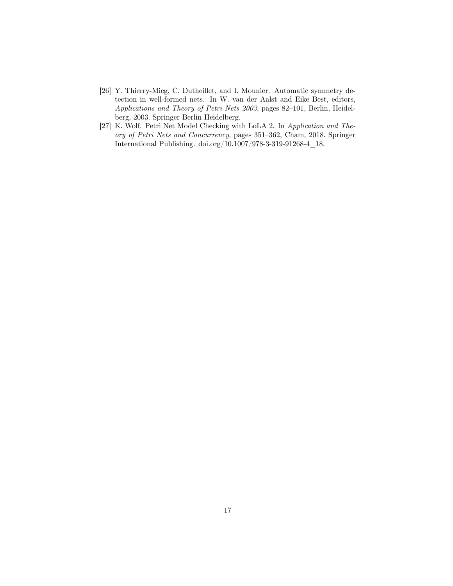- [26] Y. Thierry-Mieg, C. Dutheillet, and I. Mounier. Automatic symmetry detection in well-formed nets. In W. van der Aalst and Eike Best, editors, Applications and Theory of Petri Nets 2003, pages 82–101, Berlin, Heidelberg, 2003. Springer Berlin Heidelberg.
- [27] K. Wolf. Petri Net Model Checking with LoLA 2. In Application and Theory of Petri Nets and Concurrency, pages 351–362, Cham, 2018. Springer International Publishing. doi.org/10.1007/978-3-319-91268-4\_18.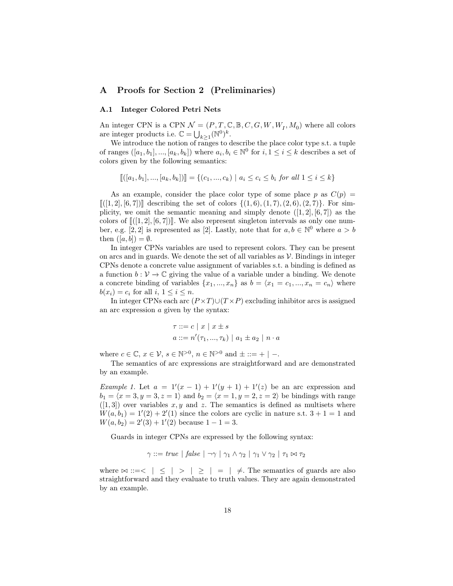### A Proofs for Section 2 (Preliminaries)

## A.1 Integer Colored Petri Nets

An integer CPN is a CPN  $\mathcal{N} = (P, T, \mathbb{C}, \mathbb{B}, C, G, W, W_I, M_0)$  where all colors are integer products i.e.  $\mathbb{C} = \bigcup_{k \geq 1} (\mathbb{N}^0)^k$ .

We introduce the notion of ranges to describe the place color type s.t. a tuple of ranges  $([a_1, b_1], ..., [a_k, b_k])$  where  $a_i, b_i \in \mathbb{N}^0$  for  $i, 1 \le i \le k$  describes a set of colors given by the following semantics:

$$
[[([a_1, b_1], ..., [a_k, b_k])]] = \{ (c_1, ..., c_k) \mid a_i \le c_i \le b_i \text{ for all } 1 \le i \le k \}
$$

As an example, consider the place color type of some place p as  $C(p)$  =  $[[(1, 2], [6, 7])]$  describing the set of colors  $\{(1, 6), (1, 7), (2, 6), (2, 7)\}$ . For simplicity, we omit the semantic meaning and simply denote  $([1, 2], [6, 7])$  as the colors of  $[(1, 2), (6, 7)]$ . We also represent singleton intervals as only one number, e.g. [2, 2] is represented as [2]. Lastly, note that for  $a, b \in \mathbb{N}^0$  where  $a > b$ then  $([a, b]) = \emptyset$ .

In integer CPNs variables are used to represent colors. They can be present on arcs and in guards. We denote the set of all variables as  $\mathcal V$ . Bindings in integer CPNs denote a concrete value assignment of variables s.t. a binding is defined as a function  $b: \mathcal{V} \to \mathbb{C}$  giving the value of a variable under a binding. We denote a concrete binding of variables  $\{x_1, ..., x_n\}$  as  $b = \langle x_1 = c_1, ..., x_n = c_n \rangle$  where  $b(x_i) = c_i$  for all  $i, 1 \leq i \leq n$ .

In integer CPNs each arc  $(P \times T) \cup (T \times P)$  excluding inhibitor arcs is assigned an arc expression a given by the syntax:

$$
\tau ::= c \mid x \mid x \pm s
$$

$$
a ::= n'(\tau_1, ..., \tau_k) \mid a_1 \pm a_2 \mid n \cdot a
$$

where  $c \in \mathbb{C}$ ,  $x \in \mathcal{V}$ ,  $s \in \mathbb{N}^{>0}$ ,  $n \in \mathbb{N}^{>0}$  and  $\pm ::= + \mid -$ .

The semantics of arc expressions are straightforward and are demonstrated by an example.

*Example 1.* Let  $a = 1'(x - 1) + 1'(y + 1) + 1'(z)$  be an arc expression and  $b_1 = \langle x = 3, y = 3, z = 1 \rangle$  and  $b_2 = \langle x = 1, y = 2, z = 2 \rangle$  be bindings with range  $([1,3])$  over variables x, y and z. The semantics is defined as multisets where  $W(a, b_1) = 1'(2) + 2'(1)$  since the colors are cyclic in nature s.t.  $3 + 1 = 1$  and  $W(a, b_2) = 2'(3) + 1'(2)$  because  $1 - 1 = 3$ .

Guards in integer CPNs are expressed by the following syntax:

$$
\gamma ::= true \mid false \mid \neg \gamma \mid \gamma_1 \land \gamma_2 \mid \gamma_1 \lor \gamma_2 \mid \tau_1 \bowtie \tau_2
$$

where  $\bowtie ::= < \vert \le \vert > \vert \ge \vert = \vert \neq$ . The semantics of guards are also straightforward and they evaluate to truth values. They are again demonstrated by an example.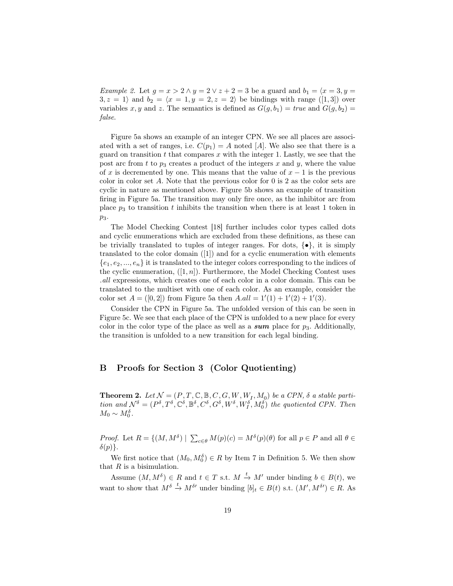*Example 2.* Let  $g = x > 2 \land y = 2 \lor z + 2 = 3$  be a guard and  $b_1 = \langle x = 3, y = 1 \rangle$  $3, z = 1$  and  $b_2 = \langle x = 1, y = 2, z = 2 \rangle$  be bindings with range ([1, 3]) over variables x, y and z. The semantics is defined as  $G(g, b_1) = true$  and  $G(g, b_2) =$ false.

Figure 5a shows an example of an integer CPN. We see all places are associated with a set of ranges, i.e.  $C(p_1) = A$  noted [A]. We also see that there is a guard on transition  $t$  that compares  $x$  with the integer 1. Lastly, we see that the post arc from t to  $p_3$  creates a product of the integers x and y, where the value of x is decremented by one. This means that the value of  $x - 1$  is the previous color in color set A. Note that the previous color for 0 is 2 as the color sets are cyclic in nature as mentioned above. Figure 5b shows an example of transition firing in Figure 5a. The transition may only fire once, as the inhibitor arc from place  $p_3$  to transition t inhibits the transition when there is at least 1 token in  $p_3$ .

The Model Checking Contest [18] further includes color types called dots and cyclic enumerations which are excluded from these definitions, as these can be trivially translated to tuples of integer ranges. For dots,  $\{\bullet\}$ , it is simply translated to the color domain ([1]) and for a cyclic enumeration with elements  $\{e_1, e_2, ..., e_n\}$  it is translated to the integer colors corresponding to the indices of the cyclic enumeration,  $([1, n])$ . Furthermore, the Model Checking Contest uses .all expressions, which creates one of each color in a color domain. This can be translated to the multiset with one of each color. As an example, consider the color set  $A = ([0,2])$  from Figure 5a then  $A.all = 1'(1) + 1'(2) + 1'(3)$ .

Consider the CPN in Figure 5a. The unfolded version of this can be seen in Figure 5c. We see that each place of the CPN is unfolded to a new place for every color in the color type of the place as well as a sum place for  $p_3$ . Additionally, the transition is unfolded to a new transition for each legal binding.

## B Proofs for Section 3 (Color Quotienting)

**Theorem 2.** Let  $\mathcal{N} = (P, T, \mathbb{C}, \mathbb{B}, C, G, W, W_I, M_0)$  be a CPN,  $\delta$  a stable partition and  $\mathcal{N}^{\delta} = (P^{\delta}, T^{\delta}, \mathbb{C}^{\delta}, \mathbb{B}^{\delta}, C^{\delta}, G^{\delta}, W^{\delta}, W^{\delta}_{I}, M^{\delta}_{0})$  the quotiented CPN. Then  $M_0 \sim M_0^{\delta}$ .

*Proof.* Let  $R = \{(M, M^{\delta}) \mid \sum_{c \in \theta} M(p)(c) = M^{\delta}(p)(\theta) \text{ for all } p \in P \text{ and all } \theta \in \Theta\}$  $\delta(p)\}.$ 

We first notice that  $(M_0, M_0^{\delta}) \in R$  by Item 7 in Definition 5. We then show that  $R$  is a bisimulation.

Assume  $(M, M^{\delta}) \in R$  and  $t \in T$  s.t.  $M \xrightarrow{t} M'$  under binding  $b \in B(t)$ , we want to show that  $M^{\delta} \stackrel{t}{\to} M^{\delta}$  under binding  $[b]_t \in B(t)$  s.t.  $(M', M^{\delta}) \in R$ . As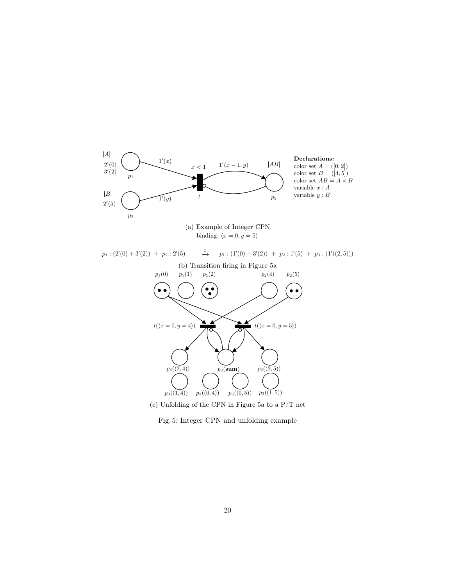

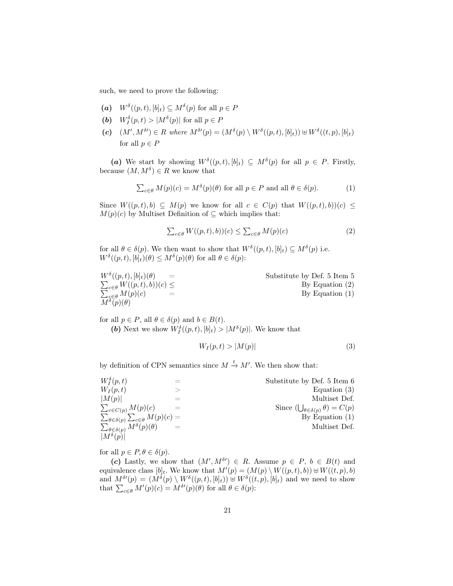such, we need to prove the following:

- (a)  $W^{\delta}((p,t), [b]_t) \subseteq M^{\delta}(p)$  for all  $p \in P$
- (b)  $W_I^{\delta}(p,t) > |M^{\delta}(p)|$  for all  $p \in P$
- (c)  $(M', M^{\delta}) \in R$  where  $M^{\delta \prime}(p) = (M^{\delta}(p) \setminus W^{\delta}((p, t), [b]_t)) \oplus W^{\delta}((t, p), [b]_t)$ for all  $p \in P$

(a) We start by showing  $W^{\delta}((p,t), [b]_t) \subseteq M^{\delta}(p)$  for all  $p \in P$ . Firstly, because  $(M, M^{\delta}) \in R$  we know that

$$
\sum_{c \in \theta} M(p)(c) = M^{\delta}(p)(\theta) \text{ for all } p \in P \text{ and all } \theta \in \delta(p).
$$
 (1)

Since  $W((p,t), b) \subseteq M(p)$  we know for all  $c \in C(p)$  that  $W((p,t), b)(c) \leq$  $M(p)(c)$  by Multiset Definition of  $\subseteq$  which implies that:

$$
\sum_{c \in \theta} W((p, t), b))(c) \le \sum_{c \in \theta} M(p)(c) \tag{2}
$$

for all  $\theta \in \delta(p)$ . We then want to show that  $W^{\delta}((p,t), [b]_t) \subseteq M^{\delta}(p)$  i.e.  $W^{\delta}((p,t), [b]_t)(\theta) \leq M^{\delta}(p)(\theta)$  for all  $\theta \in \delta(p)$ :

| $W^{\delta}((p,t),[b]_t)(\theta)$<br>$=$                          | Substitute by Def. 5 Item 5 |
|-------------------------------------------------------------------|-----------------------------|
| $\sum_{c \in \theta} W((p, t), b))(c) \leq$                       | By Equation $(2)$           |
| $\sum_{\substack{c \in \theta \\ M^{\delta}(p)(\theta)}} M(p)(c)$ | By Equation $(1)$           |
|                                                                   |                             |

for all  $p \in P$ , all  $\theta \in \delta(p)$  and  $b \in B(t)$ . (b) Next we show  $W_l^{\delta}((p,t), [b]_t) > |M^{\delta}(p)|$ . We know that

$$
W_I(p,t) > |M(p)|\tag{3}
$$

by definition of CPN semantics since  $M \xrightarrow{t} M'$ . We then show that:

| $W_I^{\delta}(p,t)$                                         | Substitute by Def. 5 Item 6                            |
|-------------------------------------------------------------|--------------------------------------------------------|
| $W_I(p,t)$                                                  | Equation $(3)$                                         |
| M(p)                                                        | Multiset Def.                                          |
| $\sum_{c \in C(p)} M(p)(c)$                                 | Since $(\bigcup_{\theta \in \delta(p)} \theta) = C(p)$ |
| $\sum_{\theta \in \delta(p)} \sum_{c \in \theta} M(p)(c) =$ | By Equation $(1)$                                      |
| $\sum_{\theta \in \delta(p)} M^{\delta}(p)(\theta)$         | Multiset Def.                                          |
| $ M^{\delta}(p) $                                           |                                                        |

for all  $p \in P, \theta \in \delta(p)$ .

(c) Lastly, we show that  $(M', M^{\delta}) \in R$ . Assume  $p \in P$ ,  $b \in B(t)$  and equivalence class  $[b]_t$ . We know that  $M'(p) = (M(p) \setminus W((p, t), b)) \cup W((t, p), b)$ and  $M^{\delta\prime}(p) = (M^{\delta}(p) \setminus W^{\delta}((p,t), [b]_t)) \oplus W^{\delta}((t,p), [b]_t)$  and we need to show that  $\sum_{c \in \theta} M'(p)(c) = M^{\delta'}(p)(\theta)$  for all  $\theta \in \delta(p)$ :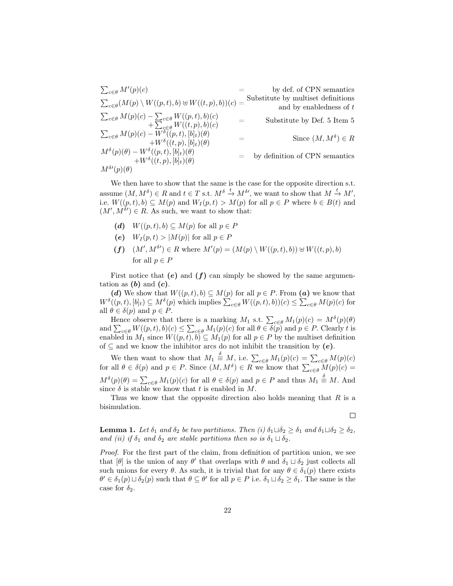$$
\sum_{c \in \theta} M'(p)(c) = \text{Substitute by multiset definitions}
$$
\n
$$
\sum_{c \in \theta} (M(p) \setminus W((p, t), b) \oplus W((t, p), b))(c) = \text{Substitute by multiset definitions}
$$
\n
$$
\sum_{c \in \theta} M(p)(c) - \sum_{c \in \theta} W((p, t), b)(c) + \sum_{c \in \theta} W((t, p), b)(c) = \text{Substitute by Def. 5 Item 5}
$$
\n
$$
\sum_{c \in \theta} M(p)(c) - W^{\delta}((p, t), [b]_t)(\theta) = \text{Since } (M, M^{\delta}) \in R
$$
\n
$$
M^{\delta}(p)(\theta) - W^{\delta}((p, t), [b]_t)(\theta) = \text{by definition of CPN semantics}
$$
\n
$$
M^{\delta\prime}(p)(\theta)
$$

We then have to show that the same is the case for the opposite direction s.t. assume  $(M, M^{\delta}) \in R$  and  $t \in T$  s.t.  $M^{\delta} \stackrel{t}{\to} M^{\delta}$ , we want to show that  $M \stackrel{t}{\to} M'$ , i.e.  $W((p, t), b) \subseteq M(p)$  and  $W_I(p, t) > M(p)$  for all  $p \in P$  where  $b \in B(t)$  and  $(M', M^{\delta}) \in R$ . As such, we want to show that:

- (d)  $W((p, t), b) \subseteq M(p)$  for all  $p \in P$
- (e)  $W_I(p,t) > |M(p)|$  for all  $p \in P$
- $(f)$   $(M', M^{\delta}) \in R$  where  $M'(p) = (M(p) \setminus W((p, t), b)) \cup W((t, p), b)$ for all  $p \in P$

First notice that  $(e)$  and  $(f)$  can simply be showed by the same argumentation as  $(b)$  and  $(c)$ .

(d) We show that  $W((p,t), b) \subseteq M(p)$  for all  $p \in P$ . From (a) we know that  $W^{\delta}((p,t), [b]_t) \subseteq M^{\delta}(p)$  which implies  $\sum_{c \in \theta} W((p,t), b))(c) \leq \sum_{c \in \theta} M(p)(c)$  for all  $\theta \in \delta(p)$  and  $p \in P$ .

Hence observe that there is a marking  $M_1$  s.t.  $\sum_{c \in \theta} M_1(p)(c) = M^{\delta}(p)(\theta)$ and  $\sum_{c \in \theta} W((p, t), b)(c) \leq \sum_{c \in \theta} M_1(p)(c)$  for all  $\theta \in \delta(p)$  and  $p \in P$ . Clearly t is enabled in  $M_1$  since  $W((p, t), b) \subseteq M_1(p)$  for all  $p \in P$  by the multiset definition of  $\subseteq$  and we know the inhibitor arcs do not inhibit the transition by  $(e)$ .

We then want to show that  $M_1 \stackrel{\delta}{\equiv} M$ , i.e.  $\sum_{c \in \theta} M_1(p)(c) = \sum_{c \in \theta} M(p)(c)$ for all  $\theta \in \delta(p)$  and  $p \in P$ . Since  $(M, M^{\delta}) \in R$  we know that  $\sum_{c \in \theta} M(p)(c) =$  $M^{\delta}(p)(\theta) = \sum_{c \in \theta} M_1(p)(c)$  for all  $\theta \in \delta(p)$  and  $p \in P$  and thus  $M_1 \stackrel{\delta}{=} M$ . And since  $\delta$  is stable we know that t is enabled in M.

Thus we know that the opposite direction also holds meaning that  $R$  is a bisimulation.

 $\Box$ 

**Lemma 1.** Let  $\delta_1$  and  $\delta_2$  be two partitions. Then (i)  $\delta_1 \sqcup \delta_2 \geq \delta_1$  and  $\delta_1 \sqcup \delta_2 \geq \delta_2$ , and (ii) if  $\delta_1$  and  $\delta_2$  are stable partitions then so is  $\delta_1 \sqcup \delta_2$ .

Proof. For the first part of the claim, from definition of partition union, we see that  $[\theta]$  is the union of any  $\theta'$  that overlaps with  $\theta$  and  $\delta_1 \sqcup \delta_2$  just collects all such unions for every  $\theta$ . As such, it is trivial that for any  $\theta \in \delta_1(p)$  there exists  $\theta' \in \delta_1(p) \sqcup \delta_2(p)$  such that  $\theta \subseteq \theta'$  for all  $p \in P$  i.e.  $\delta_1 \sqcup \delta_2 \ge \delta_1$ . The same is the case for  $\delta_2$ .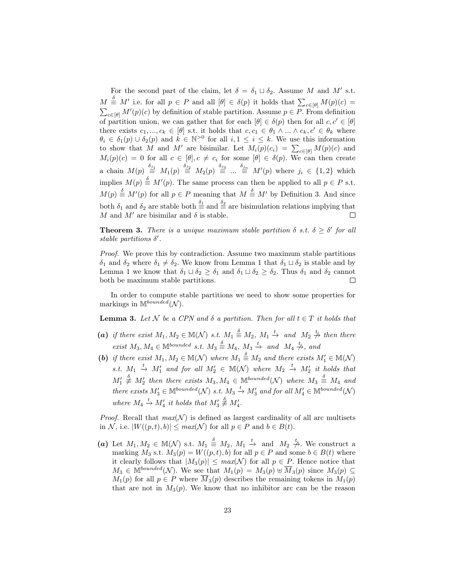For the second part of the claim, let  $\delta = \delta_1 \sqcup \delta_2$ . Assume M and M' s.t.  $M \triangleq M'$  i.e. for all  $p \in P$  and all  $[\theta] \in \delta(p)$  it holds that  $\sum_{c \in [\theta]} M(p)(c) =$  $\sum_{c \in [\theta]} M'(p)(c)$  by definition of stable partition. Assume  $p \in P$ . From definition of partition union, we can gather that for each  $[\theta] \in \delta(p)$  then for all  $c, c' \in [\theta]$ there exists  $c_1, ..., c_k \in [\theta]$  s.t. it holds that  $c, c_1 \in \theta_1 \wedge ... \wedge c_k, c' \in \theta_k$  where  $\theta_i \in \delta_1(p) \cup \delta_2(p)$  and  $k \in \mathbb{N}^{>0}$  for all  $i, 1 \leq i \leq k$ . We use this information to show that M and M' are bisimilar. Let  $M_i(p)(c_i) = \sum_{c \in [\theta]} M(p)(c)$  and  $M_i(p)(c) = 0$  for all  $c \in [\theta], c \neq c_i$  for some  $[\theta] \in \delta(p)$ . We can then create a chain  $M(p) \stackrel{\delta_{j_1}}{\equiv} M_1(p) \stackrel{\delta_{j_2}}{\equiv} M_2(p) \stackrel{\delta_{j_3}}{\equiv} ... \stackrel{\delta_{jn}}{\equiv} M'(p)$  where  $j_i \in \{1,2\}$  which implies  $M(p) \stackrel{\delta}{\equiv} M'(p)$ . The same process can then be applied to all  $p \in P$  s.t.  $M(p) \triangleq M'(p)$  for all  $p \in P$  meaning that  $M \triangleq M'$  by Definition 3. And since both  $\delta_1$  and  $\delta_2$  are stable both  $\frac{\delta_1}{n}$  and  $\frac{\delta_2}{n}$  are bisimulation relations implying that M and  $M'$  are bisimilar and  $\delta$  is stable.  $\Box$ 

**Theorem 3.** There is a unique maximum stable partition  $\delta$  s.t.  $\delta \geq \delta'$  for all stable partitions  $\delta'$ .

Proof. We prove this by contradiction. Assume two maximum stable partitions  $\delta_1$  and  $\delta_2$  where  $\delta_1 \neq \delta_2$ . We know from Lemma 1 that  $\delta_1 \sqcup \delta_2$  is stable and by Lemma 1 we know that  $\delta_1 \sqcup \delta_2 \ge \delta_1$  and  $\delta_1 \sqcup \delta_2 \ge \delta_2$ . Thus  $\delta_1$  and  $\delta_2$  cannot both be maximum stable partitions.  $\Box$ 

In order to compute stable partitions we need to show some properties for markings in  $M^{bounded}(\mathcal{N}).$ 

**Lemma 3.** Let N be a CPN and  $\delta$  a partition. Then for all  $t \in T$  it holds that

- (a) if there exist  $M_1, M_2 \in M(N)$  s.t.  $M_1 \stackrel{\delta}{\equiv} M_2, M_1 \stackrel{t}{\rightarrow}$  and  $M_2 \stackrel{t}{\rightarrow}$  then there exist  $M_3, M_4 \in \mathbb{M}^{bounded}$  s.t.  $M_3 \stackrel{\delta}{\Rightarrow} M_4, M_3 \stackrel{t}{\rightarrow} and M_4 \stackrel{t}{\not\rightarrow}$ , and
- (b) if there exist  $M_1, M_2 \in M(\mathcal{N})$  where  $M_1 \stackrel{\delta}{\equiv} M_2$  and there exists  $M'_1 \in M(\mathcal{N})$ s.t.  $M_1 \stackrel{t}{\rightarrow} M_1'$  and for all  $M_2' \in M(\mathcal{N})$  where  $M_2 \stackrel{t}{\rightarrow} M_2'$  it holds that  $M'_1 \stackrel{\delta}{\not\equiv} M'_2$  then there exists  $M_3, M_4 \in \mathbb{M}^{bounded}(\mathcal{N})$  where  $M_3 \stackrel{\delta}{\equiv} M_4$  and there exists  $M'_3 \in \mathbb{M}^{bounded}(\mathcal{N})$  s.t.  $M_3 \stackrel{t}{\rightarrow} M'_3$  and for all  $M'_4 \in \mathbb{M}^{bounded}(\mathcal{N})$ where  $M_4 \xrightarrow{t} M_4'$  it holds that  $M_3' \xleftarrow{\delta} M_4'$ .

*Proof.* Recall that  $max(\mathcal{N})$  is defined as largest cardinality of all arc multisets in N, i.e.  $|W((p,t), b)| \leq max(N)$  for all  $p \in P$  and  $b \in B(t)$ .

(a) Let  $M_1, M_2 \in M(\mathcal{N})$  s.t.  $M_1 \stackrel{\delta}{\equiv} M_2, M_1 \stackrel{t}{\rightarrow}$  and  $M_2 \stackrel{t}{\rightarrow}$ . We construct a marking  $M_3$  s.t.  $M_3(p) = W((p, t), b)$  for all  $p \in P$  and some  $b \in B(t)$  where it clearly follows that  $|M_3(p)| \leq max(\mathcal{N})$  for all  $p \in P$ . Hence notice that  $M_3 \in \mathbb{M}^{bounded}(\mathcal{N})$ . We see that  $M_1(p) = M_3(p) \oplus \overline{M}_3(p)$  since  $M_3(p) \subseteq$  $M_1(p)$  for all  $p \in P$  where  $\overline{M}_3(p)$  describes the remaining tokens in  $M_1(p)$ that are not in  $M_3(p)$ . We know that no inhibitor arc can be the reason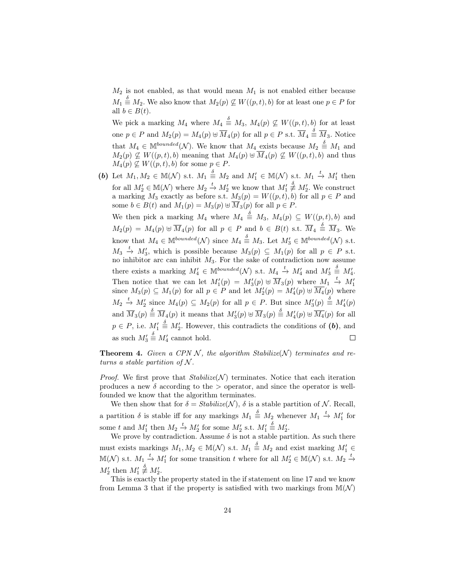$M_2$  is not enabled, as that would mean  $M_1$  is not enabled either because  $M_1 \stackrel{\delta}{\equiv} M_2$ . We also know that  $M_2(p) \not\subseteq W((p, t), b)$  for at least one  $p \in P$  for all  $b \in B(t)$ .

We pick a marking  $M_4$  where  $M_4 \triangleq M_3$ ,  $M_4(p) \nsubseteq W((p,t),b)$  for at least one  $p \in P$  and  $M_2(p) = M_4(p) \oplus \overline{M}_4(p)$  for all  $p \in P$  s.t.  $\overline{M}_4 \stackrel{\delta}{=} \overline{M}_3$ . Notice that  $M_4 \in \mathbb{M}^{bounded}(\mathcal{N})$ . We know that  $M_4$  exists because  $M_2 \triangleq M_1$  and  $M_2(p) \nsubseteq W((p, t), b)$  meaning that  $M_4(p) \oplus \overline{M}_4(p) \nsubseteq W((p, t), b)$  and thus  $M_4(p) \nsubseteq W((p, t), b)$  for some  $p \in P$ .

(b) Let  $M_1, M_2 \in M(\mathcal{N})$  s.t.  $M_1 \triangleq M_2$  and  $M'_1 \in M(\mathcal{N})$  s.t.  $M_1 \stackrel{t}{\rightarrow} M'_1$  then for all  $M'_2 \in M(\mathcal{N})$  where  $M_2 \stackrel{t}{\to} M'_2$  we know that  $M'_1 \stackrel{\delta}{\neq} M'_2$ . We construct a marking  $M_3$  exactly as before s.t.  $M_3(p) = W((p, t), b)$  for all  $p \in P$  and some  $b \in B(t)$  and  $M_1(p) = M_3(p) \oplus M_3(p)$  for all  $p \in P$ .

We then pick a marking  $M_4$  where  $M_4 \triangleq M_3$ ,  $M_4(p) \subseteq W((p,t),b)$  and  $M_2(p) = M_4(p) \uplus \overline{M}_4(p)$  for all  $p \in P$  and  $b \in B(t)$  s.t.  $\overline{M}_4 \stackrel{\delta}{\equiv} \overline{M}_3$ . We know that  $M_4 \in \mathbb{M}^{bounded}(\mathcal{N})$  since  $M_4 \stackrel{\delta}{=} M_3$ . Let  $M'_3 \in \mathbb{M}^{bounded}(\mathcal{N})$  s.t.  $M_3 \stackrel{t}{\rightarrow} M'_3$ , which is possible because  $M_3(p) \subseteq M_1(p)$  for all  $p \in P$  s.t. no inhibitor arc can inhibit  $M_3$ . For the sake of contradiction now assume  $\stackrel{\delta}{\equiv} M_4'.$ there exists a marking  $M'_4 \in \mathbb{M}^{bounded}(\mathcal{N})$  s.t.  $M_4 \stackrel{t}{\rightarrow} M'_4$  and  $M'_3$ Then notice that we can let  $M'_1(p) = M'_3(p) \oplus \overline{M}_3(p)$  where  $M_1 \stackrel{t}{\rightarrow} M'_1$ since  $M_3(p) \subseteq M_1(p)$  for all  $p \in P$  and let  $M'_2(p) = M'_4(p) \oplus \overline{M_4}(p)$  where  $M_2 \stackrel{t}{\rightarrow} M_2'$  since  $M_4(p) \subseteq M_2(p)$  for all  $p \in P$ . But since  $M_3'(p) \stackrel{\delta}{\equiv} M_4'(p)$ and  $\overline{M}_3(p) \stackrel{\delta}{\equiv} \overline{M}_4(p)$  it means that  $M'_3(p) \uplus \overline{M}_3(p) \stackrel{\delta}{\equiv} M'_4(p) \uplus \overline{M}_4(p)$  for all  $\stackrel{\delta}{=}$   $M_2'$ . However, this contradicts the conditions of (b), and  $p \in P$ , i.e.  $M'_1$  $\stackrel{\delta}{\equiv} M_4'$  cannot hold. as such  $M'_3$  $\Box$ 

**Theorem 4.** Given a CPN N, the algorithm Stabilize(N) terminates and returns a stable partition of  $N$ .

*Proof.* We first prove that  $Stabilize(\mathcal{N})$  terminates. Notice that each iteration produces a new  $\delta$  according to the  $\epsilon$  operator, and since the operator is wellfounded we know that the algorithm terminates.

We then show that for  $\delta = Stabilize(\mathcal{N})$ ,  $\delta$  is a stable partition of  $\mathcal{N}$ . Recall, a partition  $\delta$  is stable iff for any markings  $M_1 \stackrel{\delta}{\equiv} M_2$  whenever  $M_1 \stackrel{t}{\rightarrow} M_1'$  for some  $t$  and  $M'_1$  then  $M_2 \xrightarrow{t} M'_2$  for some  $M'_2$  s.t.  $M'_1$  $\stackrel{\delta}{\equiv} M'_2.$ 

We prove by contradiction. Assume  $\delta$  is not a stable partition. As such there must exists markings  $M_1, M_2 \in M(N)$  s.t.  $M_1 \stackrel{\delta}{\equiv} M_2$  and exist marking  $M'_1 \in$  $\mathbb{M}(\mathcal{N})$  s.t.  $M_1 \stackrel{t}{\rightarrow} M'_1$  for some transition t where for all  $M'_2 \in \mathbb{M}(\mathcal{N})$  s.t.  $M_2 \stackrel{t}{\rightarrow}$  $M'_2$  then  $M'_1 \neq M'_2$ .

This is exactly the property stated in the if statement on line 17 and we know from Lemma 3 that if the property is satisfied with two markings from  $\mathbb{M}(\mathcal{N})$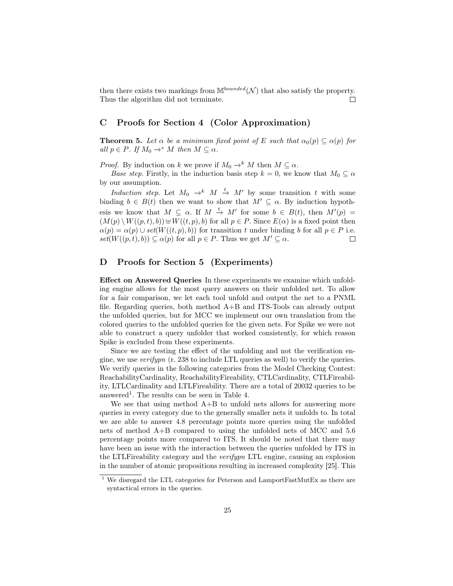then there exists two markings from  $\mathbb{M}^{bounded}(\mathcal{N})$  that also satisfy the property. Thus the algorithm did not terminate. П

## C Proofs for Section 4 (Color Approximation)

**Theorem 5.** Let  $\alpha$  be a minimum fixed point of E such that  $\alpha_0(p) \subseteq \alpha(p)$  for all  $p \in P$ . If  $M_0 \to^* M$  then  $M \subseteq \alpha$ .

*Proof.* By induction on k we prove if  $M_0 \to^k M$  then  $M \subseteq \alpha$ .

Base step. Firstly, in the induction basis step  $k = 0$ , we know that  $M_0 \subseteq \alpha$ by our assumption.

Induction step. Let  $M_0 \rightarrow^k M \stackrel{t}{\rightarrow} M'$  by some transition t with some binding  $b \in B(t)$  then we want to show that  $M' \subseteq \alpha$ . By induction hypothesis we know that  $M \subseteq \alpha$ . If  $M \stackrel{t}{\rightarrow} M'$  for some  $b \in B(t)$ , then  $M'(p) =$  $(M(p) \setminus W((p, t), b)) \oplus W((t, p), b)$  for all  $p \in P$ . Since  $E(\alpha)$  is a fixed point then  $\alpha(p) = \alpha(p) \cup set(W((t, p), b))$  for transition t under binding b for all  $p \in P$  i.e.  $set(W((p, t), b)) \subseteq \alpha(p)$  for all  $p \in P$ . Thus we get  $M' \subseteq \alpha$ .  $\Box$ 

## D Proofs for Section 5 (Experiments)

Effect on Answered Queries In these experiments we examine which unfolding engine allows for the most query answers on their unfolded net. To allow for a fair comparison, we let each tool unfold and output the net to a PNML file. Regarding queries, both method A+B and ITS-Tools can already output the unfolded queries, but for MCC we implement our own translation from the colored queries to the unfolded queries for the given nets. For Spike we were not able to construct a query unfolder that worked consistently, for which reason Spike is excluded from these experiments.

Since we are testing the effect of the unfolding and not the verification engine, we use *verifypn*  $(r. 238$  to include LTL queries as well) to verify the queries. We verify queries in the following categories from the Model Checking Contest: ReachabilityCardinality, ReachabilityFireability, CTLCardinality, CTLFireability, LTLCardinality and LTLFireability. There are a total of 20032 queries to be answered<sup>1</sup>. The results can be seen in Table 4.

We see that using method  $A+B$  to unfold nets allows for answering more queries in every category due to the generally smaller nets it unfolds to. In total we are able to answer 4.8 percentage points more queries using the unfolded nets of method A+B compared to using the unfolded nets of MCC and 5.6 percentage points more compared to ITS. It should be noted that there may have been an issue with the interaction between the queries unfolded by ITS in the LTLFireability category and the verifypn LTL engine, causing an explosion in the number of atomic propositions resulting in increased complexity [25]. This

 $^{\rm 1}$  We disregard the LTL categories for Peterson and LamportFastMutEx as there are syntactical errors in the queries.